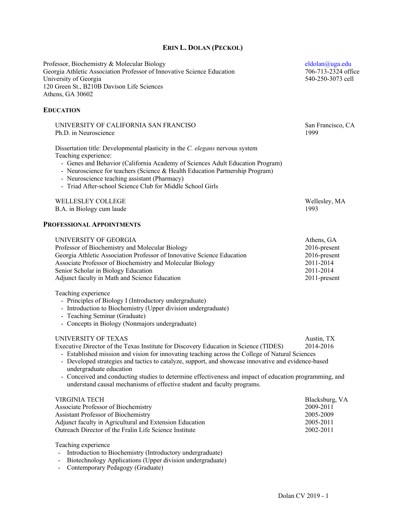# **ERIN L. DOLAN (PECKOL)**

| Professor, Biochemistry & Molecular Biology<br>Georgia Athletic Association Professor of Innovative Science Education<br>University of Georgia<br>120 Green St., B210B Davison Life Sciences<br>Athens, GA 30602                                                                                                                                                                                                                                                                                                                      | eldolan@uga.edu<br>706-713-2324 office<br>540-250-3073 cell                          |
|---------------------------------------------------------------------------------------------------------------------------------------------------------------------------------------------------------------------------------------------------------------------------------------------------------------------------------------------------------------------------------------------------------------------------------------------------------------------------------------------------------------------------------------|--------------------------------------------------------------------------------------|
| <b>EDUCATION</b>                                                                                                                                                                                                                                                                                                                                                                                                                                                                                                                      |                                                                                      |
| UNIVERSITY OF CALIFORNIA SAN FRANCISO<br>Ph.D. in Neuroscience                                                                                                                                                                                                                                                                                                                                                                                                                                                                        | San Francisco, CA<br>1999                                                            |
| Dissertation title: Developmental plasticity in the C. elegans nervous system<br>Teaching experience:<br>- Genes and Behavior (California Academy of Sciences Adult Education Program)<br>- Neuroscience for teachers (Science & Health Education Partnership Program)<br>- Neuroscience teaching assistant (Pharmacy)<br>- Triad After-school Science Club for Middle School Girls                                                                                                                                                   |                                                                                      |
| WELLESLEY COLLEGE<br>B.A. in Biology cum laude                                                                                                                                                                                                                                                                                                                                                                                                                                                                                        | Wellesley, MA<br>1993                                                                |
| <b>PROFESSIONAL APPOINTMENTS</b>                                                                                                                                                                                                                                                                                                                                                                                                                                                                                                      |                                                                                      |
| UNIVERSITY OF GEORGIA<br>Professor of Biochemistry and Molecular Biology<br>Georgia Athletic Association Professor of Innovative Science Education<br>Associate Professor of Biochemistry and Molecular Biology<br>Senior Scholar in Biology Education<br>Adjunct faculty in Math and Science Education                                                                                                                                                                                                                               | Athens, GA<br>2016-present<br>2016-present<br>2011-2014<br>2011-2014<br>2011-present |
| Teaching experience<br>- Principles of Biology I (Introductory undergraduate)<br>- Introduction to Biochemistry (Upper division undergraduate)<br>- Teaching Seminar (Graduate)<br>- Concepts in Biology (Nonmajors undergraduate)                                                                                                                                                                                                                                                                                                    |                                                                                      |
| UNIVERSITY OF TEXAS<br>Executive Director of the Texas Institute for Discovery Education in Science (TIDES)<br>- Established mission and vision for innovating teaching across the College of Natural Sciences<br>- Developed strategies and tactics to catalyze, support, and showcase innovative and evidence-based<br>undergraduate education<br>- Conceived and conducting studies to determine effectiveness and impact of education programming, and<br>understand causal mechanisms of effective student and faculty programs. | Austin, TX<br>2014-2016                                                              |
| <b>VIRGINIA TECH</b><br>Associate Professor of Biochemistry<br>Assistant Professor of Biochemistry<br>Adjunct faculty in Agricultural and Extension Education<br>Outreach Director of the Fralin Life Science Institute<br>Teaching experience                                                                                                                                                                                                                                                                                        | Blacksburg, VA<br>2009-2011<br>2005-2009<br>2005-2011<br>2002-2011                   |
| Introduction to Biochemistry (Introductory undergraduate)<br>Distantaglacy Applications (Hanon division undergraduate)                                                                                                                                                                                                                                                                                                                                                                                                                |                                                                                      |

- Biotechnology Applications (Upper division undergraduate)
- Contemporary Pedagogy (Graduate)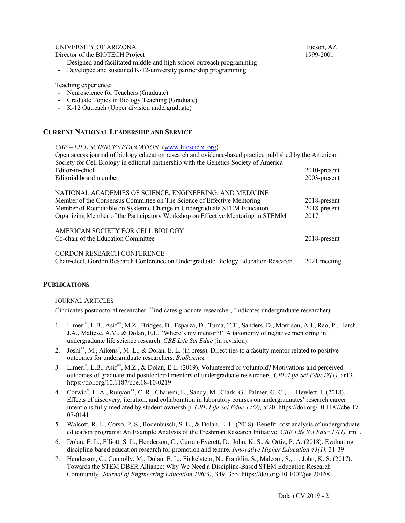# UNIVERSITY OF ARIZONA TUCSON, AZ

Director of the BIOTECH Project 1999-2001

- Designed and facilitated middle and high school outreach programming
- Developed and sustained K-12-university partnership programming

### Teaching experience:

- Neuroscience for Teachers (Graduate)
- Graduate Topics in Biology Teaching (Graduate)
- K-12 Outreach (Upper division undergraduate)

### **CURRENT NATIONAL LEADERSHIP AND SERVICE**

#### *CBE – LIFE SCIENCES EDUCATION* (www.lifescieed.org)

| Open access journal of biology education research and evidence-based practice published by the American<br>Society for Cell Biology in editorial partnership with the Genetics Society of America |                 |
|---------------------------------------------------------------------------------------------------------------------------------------------------------------------------------------------------|-----------------|
| Editor-in-chief                                                                                                                                                                                   | $2010$ -present |
| Editorial board member                                                                                                                                                                            | $2003$ -present |
| NATIONAL ACADEMIES OF SCIENCE, ENGINEERING, AND MEDICINE                                                                                                                                          |                 |
| Member of the Consensus Committee on The Science of Effective Mentoring                                                                                                                           | $2018$ -present |
| Member of Roundtable on Systemic Change in Undergraduate STEM Education                                                                                                                           | $2018$ -present |
| Organizing Member of the Participatory Workshop on Effective Mentoring in STEMM                                                                                                                   | 2017            |
| AMERICAN SOCIETY FOR CELL BIOLOGY                                                                                                                                                                 |                 |
| Co-chair of the Education Committee                                                                                                                                                               | $2018$ -present |
| <b>GORDON RESEARCH CONFERENCE</b>                                                                                                                                                                 |                 |
| Chair-elect, Gordon Research Conference on Undergraduate Biology Education Research                                                                                                               | 2021 meeting    |

### **PUBLICATIONS**

#### JOURNAL ARTICLES

( \* indicates postdoctoral researcher, \*\*indicates graduate researcher, +indicates undergraduate researcher)

- 1. Limeri\* , L.B., Asif\*\*, M.Z., Bridges, B., Esparza, D., Tuma, T.T., Sanders, D., Morrison, A.J., Rao, P., Harsh, J.A., Maltese, A.V., & Dolan, E.L. "Where's my mentor?!" A taxonomy of negative mentoring in undergraduate life science research. *CBE Life Sci Educ* (in revision).
- 2. Joshi<sup>\*\*</sup>, M., Aikens<sup>\*</sup>, M. L., & Dolan, E. L. (in press). Direct ties to a faculty mentor related to positive outcomes for undergraduate researchers. *BioScience*.
- *3.* Limeri\* , L.B., Asif\*\*, M.Z., & Dolan, E.L. (2019). Volunteered or voluntold? Motivations and perceived outcomes of graduate and postdoctoral mentors of undergraduate researchers. *CBE Life Sci Educ18(1),* ar13. https://doi.org/10.1187/cbe.18-10-0219
- 4. Corwin\* , L. A., Runyon\*\*, C. R., Ghanem, E., Sandy, M., Clark, G., Palmer, G. C., … Hewlett, J. (2018). Effects of discovery, iteration, and collaboration in laboratory courses on undergraduates' research career intentions fully mediated by student ownership. *CBE Life Sci Educ 17(2),* ar20. https://doi.org/10.1187/cbe.17- 07-0141
- 5. Walcott, R. L., Corso, P. S., Rodenbusch, S. E., & Dolan, E. L. (2018). Benefit–cost analysis of undergraduate education programs: An Example Analysis of the Freshman Research Initiative. *CBE Life Sci Educ 17(1),* rm1.
- 6. Dolan, E. L., Elliott, S. L., Henderson, C., Curran-Everett, D., John, K. S., & Ortiz, P. A. (2018). Evaluating discipline-based education research for promotion and tenure. *Innovative Higher Education 43(1),* 31-39.
- 7. Henderson, C., Connolly, M., Dolan, E. L., Finkelstein, N., Franklin, S., Malcom, S., … John, K. S. (2017). Towards the STEM DBER Alliance: Why We Need a Discipline-Based STEM Education Research Community. *Journal of Engineering Education 106(3),* 349–355. https://doi.org/10.1002/jee.20168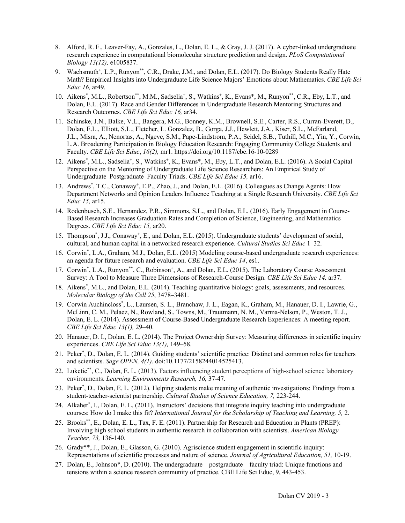- 8. Alford, R. F., Leaver-Fay, A., Gonzales, L., Dolan, E. L., & Gray, J. J. (2017). A cyber-linked undergraduate research experience in computational biomolecular structure prediction and design. *PLoS Computational Biology 13(12),* e1005837.
- 9. Wachsmuth<sup>+</sup>, L.P., Runyon<sup>\*\*</sup>, C.R., Drake, J.M., and Dolan, E.L. (2017). Do Biology Students Really Hate Math? Empirical Insights into Undergraduate Life Science Majors' Emotions about Mathematics. *CBE Life Sci Educ 16,* ar49.
- 10. Aikens<sup>\*</sup>, M.L., Robertson\*\*, M.M., Sadselia<sup>+</sup>, S., Watkins<sup>+</sup>, K., Evans\*, M., Runyon\*\*, C.R., Eby, L.T., and Dolan, E.L. (2017). Race and Gender Differences in Undergraduate Research Mentoring Structures and Research Outcomes. *CBE Life Sci Educ 16,* ar34.
- 11. Schinske, J.N., Balke, V.L., Bangera, M.G., Bonney, K.M., Brownell, S.E., Carter, R.S., Curran-Everett, D., Dolan, E.L., Elliott, S.L., Fletcher, L. Gonzalez, B., Gorga, J.J., Hewlett, J.A., Kiser, S.L., McFarland, J.L., Misra, A., Nenortas, A., Ngeve, S.M., Pape-Lindstrom, P.A., Seidel, S.B., Tuthill, M.C., Yin, Y., Corwin, L.A. Broadening Participation in Biology Education Research: Engaging Community College Students and Faculty. *CBE Life Sci Educ*, *16(2),* mr1. https://doi.org/10.1187/cbe.16-10-0289
- 12. Aikens<sup>\*</sup>, M.L., Sadselia<sup>+</sup>, S., Watkins<sup>+</sup>, K., Evans\*, M., Eby, L.T., and Dolan, E.L. (2016). A Social Capital Perspective on the Mentoring of Undergraduate Life Science Researchers: An Empirical Study of Undergraduate–Postgraduate–Faculty Triads. *CBE Life Sci Educ 15,* ar16.
- 13. Andrews<sup>\*</sup>, T.C., Conaway<sup>+</sup>, E.P., Zhao, J., and Dolan, E.L. (2016). Colleagues as Change Agents: How Department Networks and Opinion Leaders Influence Teaching at a Single Research University. *CBE Life Sci Educ 15,* ar15.
- 14. Rodenbusch, S.E., Hernandez, P.R., Simmons, S.L., and Dolan, E.L. (2016). Early Engagement in Course-Based Research Increases Graduation Rates and Completion of Science, Engineering, and Mathematics Degrees. *CBE Life Sci Educ 15,* ar20.
- 15. Thompson<sup>\*</sup>, J.J., Conaway<sup>+</sup>, E., and Dolan, E.L. (2015). Undergraduate students' development of social, cultural, and human capital in a networked research experience. *Cultural Studies Sci Educ* 1–32.
- 16. Corwin\* , L.A., Graham, M.J., Dolan, E.L. (2015) Modeling course-based undergraduate research experiences: an agenda for future research and evaluation. *CBE Life Sci Educ 14*, es1.
- 17. Corwin<sup>\*</sup>, L.A., Runyon<sup>\*\*</sup>, C., Robinson<sup>+</sup>, A., and Dolan, E.L. (2015). The Laboratory Course Assessment Survey: A Tool to Measure Three Dimensions of Research-Course Design. *CBE Life Sci Educ 14,* ar37.
- 18. Aikens\* , M.L., and Dolan, E.L. (2014). Teaching quantitative biology: goals, assessments, and resources. *Molecular Biology of the Cell 25*, 3478–3481.
- 19. Corwin Auchincloss\* , L., Laursen, S. L., Branchaw, J. L., Eagan, K., Graham, M., Hanauer, D. I., Lawrie, G., McLinn, C. M., Pelaez, N., Rowland, S., Towns, M., Trautmann, N. M., Varma-Nelson, P., Weston, T. J., Dolan, E. L. (2014). Assessment of Course-Based Undergraduate Research Experiences: A meeting report. *CBE Life Sci Educ 13(1),* 29–40.
- 20. Hanauer, D. I., Dolan, E. L. (2014). The Project Ownership Survey: Measuring differences in scientific inquiry experiences. *CBE Life Sci Educ 13(1),* 149–58.
- 21. Peker\* , D., Dolan, E. L. (2014). Guiding students' scientific practice: Distinct and common roles for teachers and scientists. *Sage OPEN, 4(1)*. doi:10.1177/2158244014525413.
- 22. Luketic\*\*, C., Dolan, E. L. (2013). Factors influencing student perceptions of high-school science laboratory environments. *Learning Environments Research, 16,* 37-47.
- 23. Peker\* , D., Dolan, E. L. (2012). Helping students make meaning of authentic investigations: Findings from a student-teacher-scientist partnership. *Cultural Studies of Science Education, 7,* 223-244.
- 24. Alkaher\* , I., Dolan, E. L. (2011). Instructors' decisions that integrate inquiry teaching into undergraduate courses: How do I make this fit? *International Journal for the Scholarship of Teaching and Learning, 5,* 2.
- 25. Brooks\*\*, E., Dolan, E. L., Tax, F. E. (2011). Partnership for Research and Education in Plants (PREP): Involving high school students in authentic research in collaboration with scientists. *American Biology Teacher, 73,* 136-140.
- 26. Grady\*\*, J., Dolan, E., Glasson, G. (2010). Agriscience student engagement in scientific inquiry: Representations of scientific processes and nature of science. *Journal of Agricultural Education, 51,* 10-19.
- 27. Dolan, E., Johnson\*, D. (2010). The undergraduate postgraduate faculty triad: Unique functions and tensions within a science research community of practice. CBE Life Sci Educ, 9, 443-453.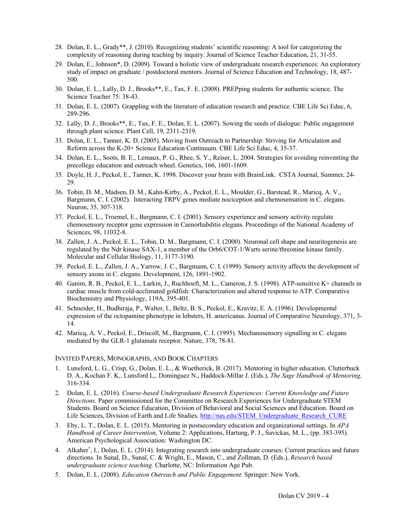- 28. Dolan, E. L., Grady\*\*, J. (2010). Recognizing students' scientific reasoning: A tool for categorizing the complexity of reasoning during teaching by inquiry. Journal of Science Teacher Education, 21, 31-55.
- 29. Dolan, E., Johnson\*, D. (2009). Toward a holistic view of undergraduate research experiences: An exploratory study of impact on graduate / postdoctoral mentors. Journal of Science Education and Technology, 18, 487- 500.
- 30. Dolan, E. L., Lally, D. J., Brooks\*\*, E., Tax, F. E. (2008). PREPping students for authentic science. The Science Teacher 75: 38-43.
- 31. Dolan, E. L. (2007). Grappling with the literature of education research and practice. CBE Life Sci Educ, 6, 289-296.
- 32. Lally, D. J., Brooks\*\*, E., Tax, F. E., Dolan, E. L. (2007). Sowing the seeds of dialogue: Public engagement through plant science. Plant Cell, 19, 2311-2319.
- 33. Dolan, E. L., Tanner, K. D. (2005). Moving from Outreach to Partnership: Striving for Articulation and Reform across the K-20+ Science Education Continuum. CBE Life Sci Educ, 4, 35-37.
- 34. Dolan, E. L., Soots, B. E., Lemaux, P. G., Rhee, S. Y., Reiser, L. 2004. Strategies for avoiding reinventing the precollege education and outreach wheel. Genetics, 166, 1601-1609.
- 35. Doyle, H. J., Peckol, E., Tanner, K. 1998. Discover your brain with BrainLink. CSTA Journal, Summer, 24- 29.
- 36. Tobin, D. M., Madsen, D. M., Kahn-Kirby, A., Peckol, E. L., Moulder, G., Barstead, R., Maricq, A. V., Bargmann, C. I. (2002). Interacting TRPV genes mediate nociception and chemosensation in C. elegans. Neuron, 35, 307-318.
- 37. Peckol, E. L., Troemel, E., Bargmann, C. I. (2001). Sensory experience and sensory activity regulate chemosensory receptor gene expression in Caenorhabditis elegans. Proceedings of the National Academy of Sciences, 98, 11032-8.
- 38. Zallen, J. A., Peckol, E. L., Tobin, D. M., Bargmann, C. I. (2000). Neuronal cell shape and neuritogenesis are regulated by the Ndr kinase SAX-1, a member of the Orb6/COT-1/Warts serine/threonine kinase family. Molecular and Cellular Biology, 11, 3177-3190.
- 39. Peckol, E. L., Zallen, J. A., Yarrow, J. C., Bargmann, C. I. (1999). Sensory activity affects the development of sensory axons in C. elegans. Development, 126, 1891-1902.
- 40. Ganim, R. B., Peckol, E. L., Larkin, J., Ruchhoeft, M. L., Cameron, J. S. (1998). ATP-sensitive K+ channels in cardiac muscle from cold-acclimated goldfish: Characterization and altered response to ATP. Comparative Biochemistry and Physiology, 119A, 395-401.
- 41. Schneider, H., Budhiraja, P., Walter, I., Beltz, B. S., Peckol, E., Kravitz, E. A. (1996). Developmental expression of the octopamine phenotype in lobsters, H. americanus. Journal of Comparative Neurology, 371, 3- 14.
- 42. Maricq, A. V., Peckol, E., Driscoll, M., Bargmann, C. I. (1995). Mechanosensory signalling in C. elegans mediated by the GLR-1 glutamate receptor. Nature, 378, 78-81.

#### INVITED PAPERS, MONOGRAPHS, AND BOOK CHAPTERS

- 1. Lunsford, L. G., Crisp, G., Dolan, E. L., & Wuetherick, B. (2017). Mentoring in higher education. Clutterbuck D. A., Kochan F. K,. Lunsford L,. Dominguez N., Haddock-Millar J. (Eds.), *The Sage Handbook of Mentoring,*  316-334.
- 2. Dolan, E. L. (2016). *Course-based Undergraduate Research Experiences: Current Knowledge and Future Directions.* Paper commissioned for the Committee on Research Experiences for Undergraduate STEM Students. Board on Science Education, Division of Behavioral and Social Sciences and Education. Board on Life Sciences, Division of Earth and Life Studies. http://nas.edu/STEM\_Undergraduate\_Research\_CURE
- 3. Eby, L. T., Dolan, E. L. (2015). Mentoring in postsecondary education and organizational settings. In *APA Handbook of Career Intervention*, Volume 2: Applications, Hartung, P. J., Savickas, M. L., (pp. 383-395). American Psychological Association: Washington DC.
- 4. Alkaher\* , I., Dolan, E. L. (2014). Integrating research into undergraduate courses: Current practices and future directions*.* In Sunal, D., Sunal, C. & Wright, E., Mason, C., and Zollman, D. (Eds.), *Research based undergraduate science teaching.* Charlotte, NC: Information Age Pub.
- 5. Dolan, E. L. (2008). *Education Outreach and Public Engagement.* Springer: New York.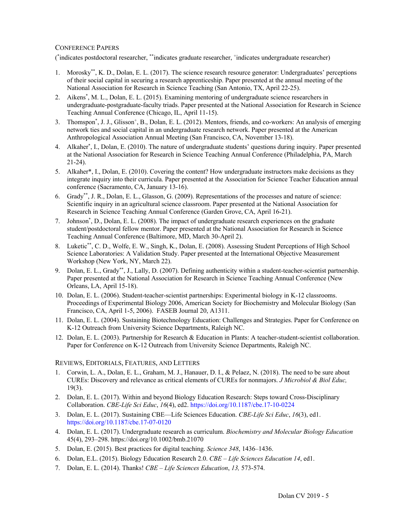# CONFERENCE PAPERS

( \* indicates postdoctoral researcher, \*\*indicates graduate researcher, +indicates undergraduate researcher)

- 1. Morosky\*\*, K. D., Dolan, E. L. (2017). The science research resource generator: Undergraduates' perceptions of their social capital in securing a research apprenticeship. Paper presented at the annual meeting of the National Association for Research in Science Teaching (San Antonio, TX, April 22-25).
- 2. Aikens\* , M. L., Dolan, E. L. (2015). Examining mentoring of undergraduate science researchers in undergraduate-postgraduate-faculty triads. Paper presented at the National Association for Research in Science Teaching Annual Conference (Chicago, IL, April 11-15).
- 3. Thomspon<sup>\*</sup>, J. J., Glisson<sup>+</sup>, B., Dolan, E. L. (2012). Mentors, friends, and co-workers: An analysis of emerging network ties and social capital in an undergraduate research network. Paper presented at the American Anthropological Association Annual Meeting (San Francisco, CA, November 13-18).
- 4. Alkaher\* , I., Dolan, E. (2010). The nature of undergraduate students' questions during inquiry. Paper presented at the National Association for Research in Science Teaching Annual Conference (Philadelphia, PA, March 21-24).
- 5. Alkaher\*, I., Dolan, E. (2010). Covering the content? How undergraduate instructors make decisions as they integrate inquiry into their curricula. Paper presented at the Association for Science Teacher Education annual conference (Sacramento, CA, January 13-16).
- 6. Grady\*\*, J. R., Dolan, E. L., Glasson, G. (2009). Representations of the processes and nature of science: Scientific inquiry in an agricultural science classroom. Paper presented at the National Association for Research in Science Teaching Annual Conference (Garden Grove, CA, April 16-21).
- 7. Johnson\* , D., Dolan, E. L. (2008). The impact of undergraduate research experiences on the graduate student/postdoctoral fellow mentor. Paper presented at the National Association for Research in Science Teaching Annual Conference (Baltimore, MD, March 30-April 2).
- 8. Luketic\*\*, C. D., Wolfe, E. W., Singh, K., Dolan, E. (2008). Assessing Student Perceptions of High School Science Laboratories: A Validation Study. Paper presented at the International Objective Measurement Workshop (New York, NY, March 22).
- 9. Dolan, E. L., Grady\*\*, J., Lally, D. (2007). Defining authenticity within a student-teacher-scientist partnership. Paper presented at the National Association for Research in Science Teaching Annual Conference (New Orleans, LA, April 15-18).
- 10. Dolan, E. L. (2006). Student-teacher-scientist partnerships: Experimental biology in K-12 classrooms. Proceedings of Experimental Biology 2006, American Society for Biochemistry and Molecular Biology (San Francisco, CA, April 1-5, 2006). FASEB Journal 20, A1311.
- 11. Dolan, E. L. (2004). Sustaining Biotechnology Education: Challenges and Strategies. Paper for Conference on K-12 Outreach from University Science Departments, Raleigh NC.
- 12. Dolan, E. L. (2003). Partnership for Research & Education in Plants: A teacher-student-scientist collaboration. Paper for Conference on K-12 Outreach from University Science Departments, Raleigh NC.

### REVIEWS, EDITORIALS, FEATURES, AND LETTERS

- 1. Corwin, L. A., Dolan, E. L., Graham, M. J., Hanauer, D. I., & Pelaez, N. (2018). The need to be sure about CUREs: Discovery and relevance as critical elements of CUREs for nonmajors. *J Microbiol & Biol Educ,*  19(3).
- 2. Dolan, E. L. (2017). Within and beyond Biology Education Research: Steps toward Cross-Disciplinary Collaboration. *CBE-Life Sci Educ*, *16*(4), ed2. https://doi.org/10.1187/cbe.17-10-0224
- 3. Dolan, E. L. (2017). Sustaining CBE—Life Sciences Education. *CBE-Life Sci Educ*, *16*(3), ed1. https://doi.org/10.1187/cbe.17-07-0120
- 4. Dolan, E. L. (2017). Undergraduate research as curriculum. *Biochemistry and Molecular Biology Education*  45(4), 293–298. https://doi.org/10.1002/bmb.21070
- 5. Dolan, E. (2015). Best practices for digital teaching. *Science 348*, 1436–1436.
- 6. Dolan, E.L. (2015). Biology Education Research 2.0. *CBE – Life Sciences Education 14*, ed1.
- 7. Dolan, E. L. (2014). Thanks! *CBE – Life Sciences Education*, *13,* 573-574.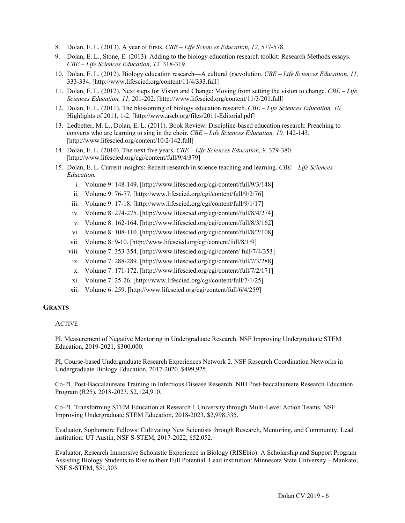- 8. Dolan, E. L. (2013). A year of firsts. *CBE – Life Sciences Education, 12,* 577-578.
- 9. Dolan, E. L., Stone, E. (2013). Adding to the biology education research toolkit: Research Methods essays. *CBE – Life Sciences Education*, *12,* 318-319.
- 10. Dolan, E. L. (2012). Biology education research—A cultural (r)evolution. *CBE – Life Sciences Education, 11,* 333-334. [http://www.lifescied.org/content/11/4/333.full]
- 11. Dolan, E. L. (2012). Next steps for Vision and Change: Moving from setting the vision to change. *CBE – Life Sciences Education, 11,* 201-202. [http://www.lifescied.org/content/11/3/201.full]
- 12. Dolan, E. L. (2011). The blossoming of biology education research. *CBE – Life Sciences Education, 10,* Highlights of 2011, 1-2. [http://www.ascb.org/files/2011-Editorial.pdf]
- 13. Ledbetter, M. L., Dolan, E. L. (2011). Book Review. Discipline-based education research: Preaching to converts who are learning to sing in the choir. *CBE – Life Sciences Education, 10,* 142-143. [http://www.lifescied.org/content/10/2/142.full]
- 14. Dolan, E. L. (2010). The next five years. *CBE – Life Sciences Education, 9,* 379-380. [http://www.lifescied.org/cgi/content/full/9/4/379]
- 15. Dolan, E. L. Current insights: Recent research in science teaching and learning. *CBE – Life Sciences Education.* 
	- i. Volume 9: 148-149. [http://www.lifescied.org/cgi/content/full/9/3/148]
	- ii. Volume 9: 76-77. [http://www.lifescied.org/cgi/content/full/9/2/76]
	- iii. Volume 9: 17-18. [http://www.lifescied.org/cgi/content/full/9/1/17]
	- iv. Volume 8: 274-275. [http://www.lifescied.org/cgi/content/full/8/4/274]
	- v. Volume 8: 162-164. [http://www.lifescied.org/cgi/content/full/8/3/162]
	- vi. Volume 8: 108-110. [http://www.lifescied.org/cgi/content/full/8/2/108]
	- vii. Volume 8: 9-10. [http://www.lifescied.org/cgi/content/full/8/1/9]
	- viii. Volume 7: 353-354. [http://www.lifescied.org/cgi/content/ full/7/4/353]
	- ix. Volume 7: 288-289. [http://www.lifescied.org/cgi/content/full/7/3/288]
	- x. Volume 7: 171-172. [http://www.lifescied.org/cgi/content/full/7/2/171]
	- xi. Volume 7: 25-26. [http://www.lifescied.org/cgi/content/full/7/1/25]
	- xii. Volume 6: 259. [http://www.lifescied.org/cgi/content/full/6/4/259]

#### **GRANTS**

#### ACTIVE

PI, Measurement of Negative Mentoring in Undergraduate Research. NSF Improving Undergraduate STEM Education, 2019-2021, \$300,000.

PI, Course-based Undergraduate Research Experiences Network 2. NSF Research Coordination Networks in Undergraduate Biology Education, 2017-2020, \$499,925.

Co-PI, Post-Baccalaureate Training in Infectious Disease Research. NIH Post-baccalaureate Research Education Program (R25), 2018-2023, \$2,124,910.

Co-PI, Transforming STEM Education at Research 1 University through Multi-Level Action Teams. NSF Improving Undergraduate STEM Education, 2018-2023, \$2,998,335.

Evaluator, Sophomore Fellows: Cultivating New Scientists through Research, Mentoring, and Community. Lead institution: UT Austin, NSF S-STEM, 2017-2022, \$52,052.

Evaluator, Research Immersive Scholastic Experience in Biology (RISEbio): A Scholarship and Support Program Assisting Biology Students to Rise to their Full Potential. Lead institution: Minnesota State University – Mankato, NSF S-STEM, \$51,303.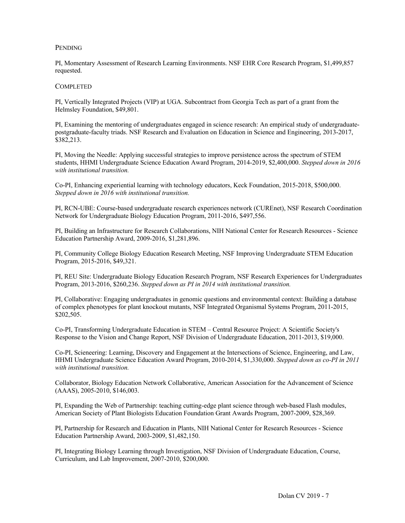### **PENDING**

PI, Momentary Assessment of Research Learning Environments. NSF EHR Core Research Program, \$1,499,857 requested.

#### **COMPLETED**

PI, Vertically Integrated Projects (VIP) at UGA. Subcontract from Georgia Tech as part of a grant from the Helmsley Foundation, \$49,801.

PI, Examining the mentoring of undergraduates engaged in science research: An empirical study of undergraduatepostgraduate-faculty triads. NSF Research and Evaluation on Education in Science and Engineering, 2013-2017, \$382,213.

PI, Moving the Needle: Applying successful strategies to improve persistence across the spectrum of STEM students, HHMI Undergraduate Science Education Award Program, 2014-2019, \$2,400,000. *Stepped down in 2016 with institutional transition.*

Co-PI, Enhancing experiential learning with technology educators, Keck Foundation, 2015-2018, \$500,000. *Stepped down in 2016 with institutional transition.*

PI, RCN-UBE: Course-based undergraduate research experiences network (CUREnet), NSF Research Coordination Network for Undergraduate Biology Education Program, 2011-2016, \$497,556.

PI, Building an Infrastructure for Research Collaborations, NIH National Center for Research Resources - Science Education Partnership Award, 2009-2016, \$1,281,896.

PI, Community College Biology Education Research Meeting, NSF Improving Undergraduate STEM Education Program, 2015-2016, \$49,321.

PI, REU Site: Undergraduate Biology Education Research Program, NSF Research Experiences for Undergraduates Program, 2013-2016, \$260,236. *Stepped down as PI in 2014 with institutional transition.*

PI, Collaborative: Engaging undergraduates in genomic questions and environmental context: Building a database of complex phenotypes for plant knockout mutants, NSF Integrated Organismal Systems Program, 2011-2015, \$202,505.

Co-PI, Transforming Undergraduate Education in STEM – Central Resource Project: A Scientific Society's Response to the Vision and Change Report, NSF Division of Undergraduate Education, 2011-2013, \$19,000.

Co-PI, Scieneering: Learning, Discovery and Engagement at the Intersections of Science, Engineering, and Law, HHMI Undergraduate Science Education Award Program, 2010-2014, \$1,330,000. *Stepped down as co-PI in 2011 with institutional transition.*

Collaborator, Biology Education Network Collaborative, American Association for the Advancement of Science (AAAS), 2005-2010, \$146,003.

PI, Expanding the Web of Partnership: teaching cutting-edge plant science through web-based Flash modules, American Society of Plant Biologists Education Foundation Grant Awards Program, 2007-2009, \$28,369.

PI, Partnership for Research and Education in Plants, NIH National Center for Research Resources - Science Education Partnership Award, 2003-2009, \$1,482,150.

PI, Integrating Biology Learning through Investigation, NSF Division of Undergraduate Education, Course, Curriculum, and Lab Improvement, 2007-2010, \$200,000.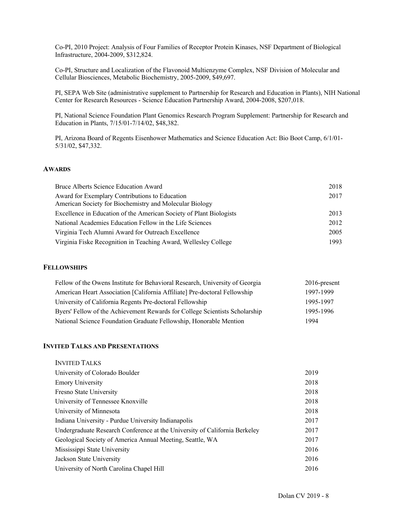Co-PI, 2010 Project: Analysis of Four Families of Receptor Protein Kinases, NSF Department of Biological Infrastructure, 2004-2009, \$312,824.

Co-PI, Structure and Localization of the Flavonoid Multienzyme Complex, NSF Division of Molecular and Cellular Biosciences, Metabolic Biochemistry, 2005-2009, \$49,697.

PI, SEPA Web Site (administrative supplement to Partnership for Research and Education in Plants), NIH National Center for Research Resources - Science Education Partnership Award, 2004-2008, \$207,018.

PI, National Science Foundation Plant Genomics Research Program Supplement: Partnership for Research and Education in Plants, 7/15/01-7/14/02, \$48,382.

PI, Arizona Board of Regents Eisenhower Mathematics and Science Education Act: Bio Boot Camp, 6/1/01- 5/31/02, \$47,332.

### **AWARDS**

| Bruce Alberts Science Education Award                                                                     | 2018 |
|-----------------------------------------------------------------------------------------------------------|------|
| Award for Exemplary Contributions to Education<br>American Society for Biochemistry and Molecular Biology | 2017 |
| Excellence in Education of the American Society of Plant Biologists                                       | 2013 |
| National Academies Education Fellow in the Life Sciences                                                  | 2012 |
| Virginia Tech Alumni Award for Outreach Excellence                                                        | 2005 |
| Virginia Fiske Recognition in Teaching Award, Wellesley College                                           | 1993 |

#### **FELLOWSHIPS**

| Fellow of the Owens Institute for Behavioral Research, University of Georgia | $2016$ -present |
|------------------------------------------------------------------------------|-----------------|
| American Heart Association [California Affiliate] Pre-doctoral Fellowship    | 1997-1999       |
| University of California Regents Pre-doctoral Fellowship                     | 1995-1997       |
| Byers' Fellow of the Achievement Rewards for College Scientists Scholarship  | 1995-1996       |
| National Science Foundation Graduate Fellowship, Honorable Mention           | 1994            |

### **INVITED TALKS AND PRESENTATIONS**

| 2019 |
|------|
| 2018 |
| 2018 |
| 2018 |
| 2018 |
| 2017 |
| 2017 |
| 2017 |
| 2016 |
| 2016 |
| 2016 |
|      |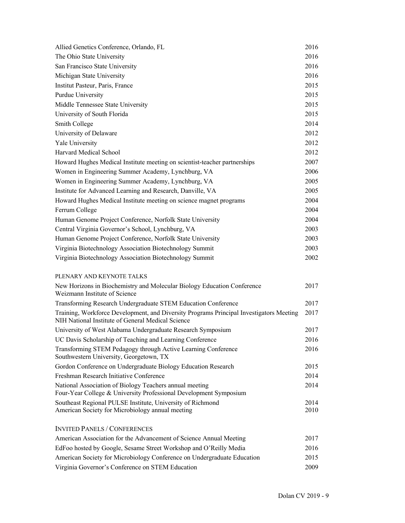| Allied Genetics Conference, Orlando, FL                                                                                                      | 2016         |
|----------------------------------------------------------------------------------------------------------------------------------------------|--------------|
| The Ohio State University                                                                                                                    | 2016         |
| San Francisco State University                                                                                                               | 2016         |
| Michigan State University                                                                                                                    | 2016         |
| Institut Pasteur, Paris, France                                                                                                              | 2015         |
| Purdue University                                                                                                                            | 2015         |
| Middle Tennessee State University                                                                                                            | 2015         |
| University of South Florida                                                                                                                  | 2015         |
| Smith College                                                                                                                                | 2014         |
| University of Delaware                                                                                                                       | 2012         |
| Yale University                                                                                                                              | 2012         |
| Harvard Medical School                                                                                                                       | 2012         |
| Howard Hughes Medical Institute meeting on scientist-teacher partnerships                                                                    | 2007         |
| Women in Engineering Summer Academy, Lynchburg, VA                                                                                           | 2006         |
| Women in Engineering Summer Academy, Lynchburg, VA                                                                                           | 2005         |
| Institute for Advanced Learning and Research, Danville, VA                                                                                   | 2005         |
| Howard Hughes Medical Institute meeting on science magnet programs                                                                           | 2004         |
| Ferrum College                                                                                                                               | 2004         |
| Human Genome Project Conference, Norfolk State University                                                                                    | 2004         |
| Central Virginia Governor's School, Lynchburg, VA                                                                                            | 2003         |
| Human Genome Project Conference, Norfolk State University                                                                                    | 2003         |
| Virginia Biotechnology Association Biotechnology Summit                                                                                      | 2003         |
| Virginia Biotechnology Association Biotechnology Summit                                                                                      | 2002         |
| PLENARY AND KEYNOTE TALKS                                                                                                                    |              |
| New Horizons in Biochemistry and Molecular Biology Education Conference<br>Weizmann Institute of Science                                     | 2017         |
| Transforming Research Undergraduate STEM Education Conference                                                                                | 2017         |
| Training, Workforce Development, and Diversity Programs Principal Investigators Meeting<br>NIH National Institute of General Medical Science | 2017         |
| University of West Alabama Undergraduate Research Symposium                                                                                  | 2017         |
| UC Davis Scholarship of Teaching and Learning Conference                                                                                     | 2016         |
| Transforming STEM Pedagogy through Active Learning Conference<br>Southwestern University, Georgetown, TX                                     | 2016         |
| Gordon Conference on Undergraduate Biology Education Research                                                                                | 2015         |
| Freshman Research Initiative Conference                                                                                                      | 2014         |
| National Association of Biology Teachers annual meeting<br>Four-Year College & University Professional Development Symposium                 | 2014         |
| Southeast Regional PULSE Institute, University of Richmond<br>American Society for Microbiology annual meeting                               | 2014<br>2010 |
| <b>INVITED PANELS / CONFERENCES</b>                                                                                                          |              |
| American Association for the Advancement of Science Annual Meeting                                                                           | 2017         |
| EdFoo hosted by Google, Sesame Street Workshop and O'Reilly Media                                                                            | 2016         |
| American Society for Microbiology Conference on Undergraduate Education                                                                      | 2015         |
| Virginia Governor's Conference on STEM Education                                                                                             | 2009         |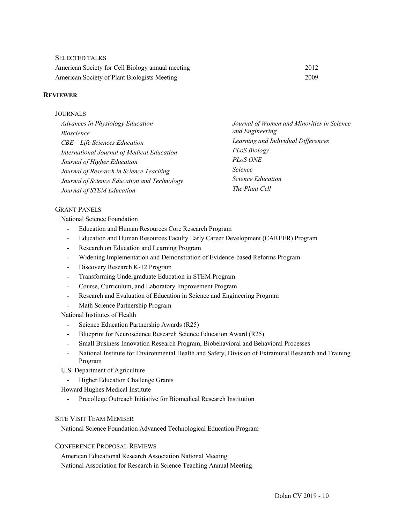| <b>SELECTED TALKS</b>                            |      |
|--------------------------------------------------|------|
| American Society for Cell Biology annual meeting | 2012 |
| American Society of Plant Biologists Meeting     | 2009 |

# **REVIEWER**

#### JOURNALS

| <b>Advances in Physiology Education</b>     | Journal of Women and Minorities in Science |
|---------------------------------------------|--------------------------------------------|
| <i>Bioscience</i>                           | and Engineering                            |
| CBE - Life Sciences Education               | Learning and Individual Differences        |
| International Journal of Medical Education  | PLoS Biology                               |
| Journal of Higher Education                 | PL <sub>o</sub> S ONE                      |
| Journal of Research in Science Teaching     | <i>Science</i>                             |
| Journal of Science Education and Technology | <i>Science Education</i>                   |
| Journal of STEM Education                   | The Plant Cell                             |

### GRANT PANELS

National Science Foundation

- Education and Human Resources Core Research Program
- Education and Human Resources Faculty Early Career Development (CAREER) Program
- Research on Education and Learning Program
- Widening Implementation and Demonstration of Evidence-based Reforms Program
- Discovery Research K-12 Program
- Transforming Undergraduate Education in STEM Program
- Course, Curriculum, and Laboratory Improvement Program
- Research and Evaluation of Education in Science and Engineering Program
- Math Science Partnership Program

National Institutes of Health

- Science Education Partnership Awards (R25)
- Blueprint for Neuroscience Research Science Education Award (R25)
- Small Business Innovation Research Program, Biobehavioral and Behavioral Processes
- National Institute for Environmental Health and Safety, Division of Extramural Research and Training Program
- U.S. Department of Agriculture
	- Higher Education Challenge Grants

Howard Hughes Medical Institute

- Precollege Outreach Initiative for Biomedical Research Institution

### SITE VISIT TEAM MEMBER

National Science Foundation Advanced Technological Education Program

#### CONFERENCE PROPOSAL REVIEWS

American Educational Research Association National Meeting National Association for Research in Science Teaching Annual Meeting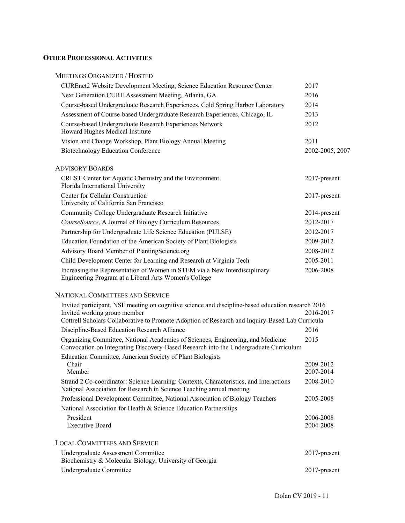# **OTHER PROFESSIONAL ACTIVITIES**

### MEETINGS ORGANIZED / HOSTED

| CUREnet2 Website Development Meeting, Science Education Resource Center                                                             | 2017            |
|-------------------------------------------------------------------------------------------------------------------------------------|-----------------|
| Next Generation CURE Assessment Meeting, Atlanta, GA                                                                                | 2016            |
| Course-based Undergraduate Research Experiences, Cold Spring Harbor Laboratory                                                      | 2014            |
| Assessment of Course-based Undergraduate Research Experiences, Chicago, IL                                                          | 2013            |
| Course-based Undergraduate Research Experiences Network<br>Howard Hughes Medical Institute                                          | 2012            |
| Vision and Change Workshop, Plant Biology Annual Meeting                                                                            | 2011            |
| <b>Biotechnology Education Conference</b>                                                                                           | 2002-2005, 2007 |
| <b>ADVISORY BOARDS</b>                                                                                                              |                 |
| CREST Center for Aquatic Chemistry and the Environment<br>Florida International University                                          | 2017-present    |
| Center for Cellular Construction<br>University of California San Francisco                                                          | $2017$ -present |
| Community College Undergraduate Research Initiative                                                                                 | 2014-present    |
| CourseSource, A Journal of Biology Curriculum Resources                                                                             | 2012-2017       |
| Partnership for Undergraduate Life Science Education (PULSE)                                                                        | 2012-2017       |
| Education Foundation of the American Society of Plant Biologists                                                                    | 2009-2012       |
| Advisory Board Member of PlantingScience.org                                                                                        | 2008-2012       |
| Child Development Center for Learning and Research at Virginia Tech                                                                 | 2005-2011       |
| Increasing the Representation of Women in STEM via a New Interdisciplinary<br>Engineering Program at a Liberal Arts Women's College | 2006-2008       |
|                                                                                                                                     |                 |

# NATIONAL COMMITTEES AND SERVICE

| Invited participant, NSF meeting on cognitive science and discipline-based education research 2016                                                                       |                 |
|--------------------------------------------------------------------------------------------------------------------------------------------------------------------------|-----------------|
| Invited working group member                                                                                                                                             | 2016-2017       |
| Cottrell Scholars Collaborative to Promote Adoption of Research and Inquiry-Based Lab Curricula                                                                          |                 |
| Discipline-Based Education Research Alliance                                                                                                                             | 2016            |
| Organizing Committee, National Academies of Sciences, Engineering, and Medicine<br>Convocation on Integrating Discovery-Based Research into the Undergraduate Curriculum | 2015            |
| Education Committee, American Society of Plant Biologists                                                                                                                |                 |
| Chair                                                                                                                                                                    | 2009-2012       |
| Member                                                                                                                                                                   | 2007-2014       |
| Strand 2 Co-coordinator: Science Learning: Contexts, Characteristics, and Interactions                                                                                   | 2008-2010       |
| National Association for Research in Science Teaching annual meeting                                                                                                     |                 |
| Professional Development Committee, National Association of Biology Teachers                                                                                             | 2005-2008       |
| National Association for Health & Science Education Partnerships                                                                                                         |                 |
| President                                                                                                                                                                | 2006-2008       |
| <b>Executive Board</b>                                                                                                                                                   | 2004-2008       |
|                                                                                                                                                                          |                 |
| <b>LOCAL COMMITTEES AND SERVICE</b>                                                                                                                                      |                 |
| Undergraduate Assessment Committee<br>Biochemistry & Molecular Biology, University of Georgia                                                                            | $2017$ -present |
| Undergraduate Committee                                                                                                                                                  | $2017$ -present |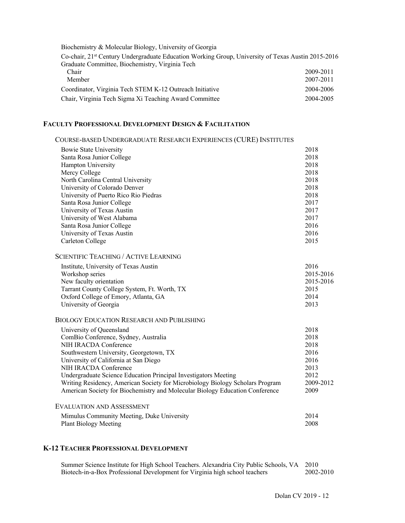| Biochemistry & Molecular Biology, University of Georgia                                                        |           |
|----------------------------------------------------------------------------------------------------------------|-----------|
| Co-chair, 21 <sup>st</sup> Century Undergraduate Education Working Group, University of Texas Austin 2015-2016 |           |
| Graduate Committee, Biochemistry, Virginia Tech                                                                |           |
| Chair                                                                                                          | 2009-2011 |
| Member                                                                                                         | 2007-2011 |
| Coordinator, Virginia Tech STEM K-12 Outreach Initiative                                                       | 2004-2006 |
| Chair, Virginia Tech Sigma Xi Teaching Award Committee                                                         | 2004-2005 |

# **FACULTY PROFESSIONAL DEVELOPMENT DESIGN & FACILITATION**

| COURSE-BASED UNDERGRADUATE RESEARCH EXPERIENCES (CURE) INSTITUTES             |           |
|-------------------------------------------------------------------------------|-----------|
| Bowie State University                                                        | 2018      |
| Santa Rosa Junior College                                                     | 2018      |
| Hampton University                                                            | 2018      |
| Mercy College                                                                 | 2018      |
| North Carolina Central University                                             | 2018      |
| University of Colorado Denver                                                 | 2018      |
| University of Puerto Rico Rio Piedras                                         | 2018      |
| Santa Rosa Junior College                                                     | 2017      |
| University of Texas Austin                                                    | 2017      |
| University of West Alabama                                                    | 2017      |
| Santa Rosa Junior College                                                     | 2016      |
| University of Texas Austin                                                    | 2016      |
| Carleton College                                                              | 2015      |
| <b>SCIENTIFIC TEACHING / ACTIVE LEARNING</b>                                  |           |
| Institute, University of Texas Austin                                         | 2016      |
| Workshop series                                                               | 2015-2016 |
| New faculty orientation                                                       | 2015-2016 |
| Tarrant County College System, Ft. Worth, TX                                  | 2015      |
| Oxford College of Emory, Atlanta, GA                                          | 2014      |
| University of Georgia                                                         | 2013      |
| <b>BIOLOGY EDUCATION RESEARCH AND PUBLISHING</b>                              |           |
| University of Queensland                                                      | 2018      |
| ComBio Conference, Sydney, Australia                                          | 2018      |
| NIH IRACDA Conference                                                         | 2018      |
| Southwestern University, Georgetown, TX                                       | 2016      |
| University of California at San Diego                                         | 2016      |
| NIH IRACDA Conference                                                         | 2013      |
| Undergraduate Science Education Principal Investigators Meeting               | 2012      |
| Writing Residency, American Society for Microbiology Biology Scholars Program | 2009-2012 |
| American Society for Biochemistry and Molecular Biology Education Conference  | 2009      |
| <b>EVALUATION AND ASSESSMENT</b>                                              |           |
| Mimulus Community Meeting, Duke University                                    | 2014      |
| <b>Plant Biology Meeting</b>                                                  | 2008      |
|                                                                               |           |
|                                                                               |           |

# **K-12 TEACHER PROFESSIONAL DEVELOPMENT**

Summer Science Institute for High School Teachers. Alexandria City Public Schools, VA 2010<br>Biotech-in-a-Box Professional Development for Virginia high school teachers 2002-2010 Biotech-in-a-Box Professional Development for Virginia high school teachers